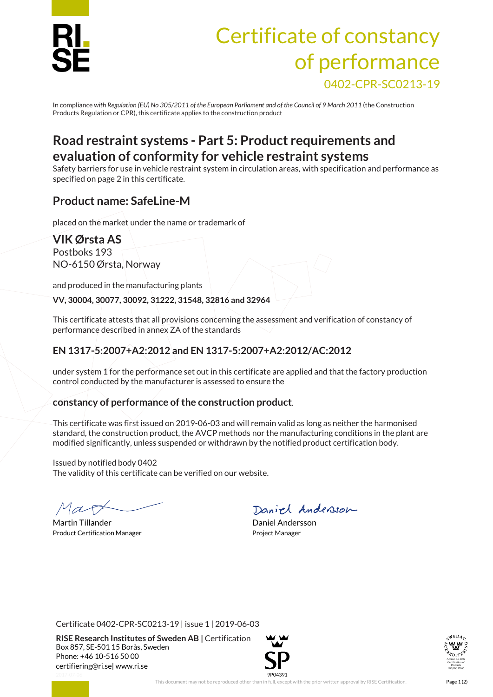

# Certificate of constancy of performance 0402-CPR-SC0213-19

In compliance *with Regulation (EU) No 305/2011 of the European Parliament and of the Council of 9 March 2011* (the Construction Products Regulation or CPR), this certificate applies to the construction product

## **Road restraint systems - Part 5: Product requirements and evaluation of conformity for vehicle restraint systems**

Safety barriers for use in vehicle restraint system in circulation areas, with specification and performance as specified on page 2 in this certificate.

## **Product name: SafeLine-M**

placed on the market under the name or trademark of

# **VIK Ørsta AS**

Postboks 193 NO-6150 Ørsta, Norway

and produced in the manufacturing plants

**VV, 30004, 30077, 30092, 31222, 31548, 32816 and 32964**

This certificate attests that all provisions concerning the assessment and verification of constancy of performance described in annex ZA of the standards

## **EN 1317-5:2007+A2:2012 and EN 1317-5:2007+A2:2012/AC:2012**

under system 1 for the performance set out in this certificate are applied and that the factory production control conducted by the manufacturer is assessed to ensure the

#### **constancy of performance of the construction product**.

This certificate was first issued on 2019-06-03 and will remain valid as long as neither the harmonised standard, the construction product, the AVCP methods nor the manufacturing conditions in the plant are modified significantly, unless suspended or withdrawn by the notified product certification body.

Issued by notified body 0402 The validity of this certificate can be verified on our website.

Martin Tillander **Daniel Andersson** Product Certification Manager **Project Manager** Project Manager

Daniel Andersson

Certificate 0402-CPR-SC0213-19 | issue 1 | 2019-06-03

**RISE Research Institutes of Sweden AB |** Certification Box 857, SE-501 15 Borås, Sweden Phone: +46 10-516 50 00 [certifiering@ri.se|](mailto:certifiering@ri.se) www.ri.se